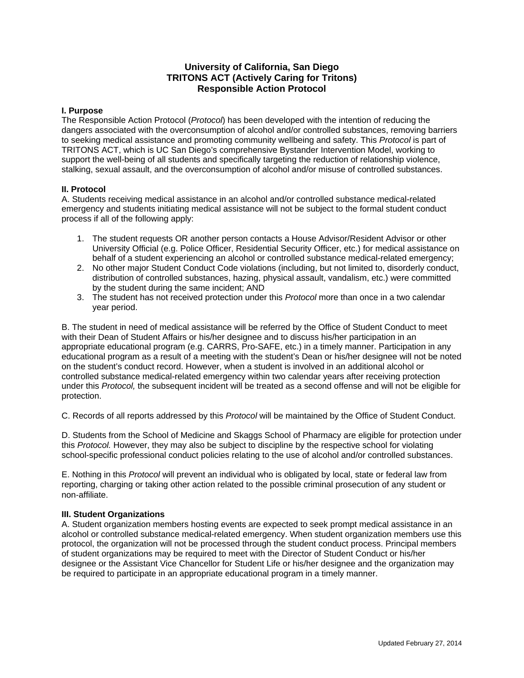## **University of California, San Diego TRITONS ACT (Actively Caring for Tritons) Responsible Action Protocol**

## **I. Purpose**

The Responsible Action Protocol (*Protocol*) has been developed with the intention of reducing the dangers associated with the overconsumption of alcohol and/or controlled substances, removing barriers to seeking medical assistance and promoting community wellbeing and safety. This *Protocol* is part of TRITONS ACT, which is UC San Diego's comprehensive Bystander Intervention Model, working to support the well-being of all students and specifically targeting the reduction of relationship violence, stalking, sexual assault, and the overconsumption of alcohol and/or misuse of controlled substances.

## **II. Protocol**

A. Students receiving medical assistance in an alcohol and/or controlled substance medical-related emergency and students initiating medical assistance will not be subject to the formal student conduct process if all of the following apply:

- 1. The student requests OR another person contacts a House Advisor/Resident Advisor or other University Official (e.g. Police Officer, Residential Security Officer, etc.) for medical assistance on behalf of a student experiencing an alcohol or controlled substance medical-related emergency;
- 2. No other major Student Conduct Code violations (including, but not limited to, disorderly conduct, distribution of controlled substances, hazing, physical assault, vandalism, etc.) were committed by the student during the same incident; AND
- 3. The student has not received protection under this *Protocol* more than once in a two calendar year period.

B. The student in need of medical assistance will be referred by the Office of Student Conduct to meet with their Dean of Student Affairs or his/her designee and to discuss his/her participation in an appropriate educational program (e.g. CARRS, Pro-SAFE, etc.) in a timely manner. Participation in any educational program as a result of a meeting with the student's Dean or his/her designee will not be noted on the student's conduct record. However, when a student is involved in an additional alcohol or controlled substance medical-related emergency within two calendar years after receiving protection under this *Protocol,* the subsequent incident will be treated as a second offense and will not be eligible for protection.

C. Records of all reports addressed by this *Protocol* will be maintained by the Office of Student Conduct.

D. Students from the School of Medicine and Skaggs School of Pharmacy are eligible for protection under this *Protocol.* However, they may also be subject to discipline by the respective school for violating school-specific professional conduct policies relating to the use of alcohol and/or controlled substances.

E. Nothing in this *Protocol* will prevent an individual who is obligated by local, state or federal law from reporting, charging or taking other action related to the possible criminal prosecution of any student or non‐affiliate.

## **III. Student Organizations**

A. Student organization members hosting events are expected to seek prompt medical assistance in an alcohol or controlled substance medical-related emergency. When student organization members use this protocol, the organization will not be processed through the student conduct process. Principal members of student organizations may be required to meet with the Director of Student Conduct or his/her designee or the Assistant Vice Chancellor for Student Life or his/her designee and the organization may be required to participate in an appropriate educational program in a timely manner.